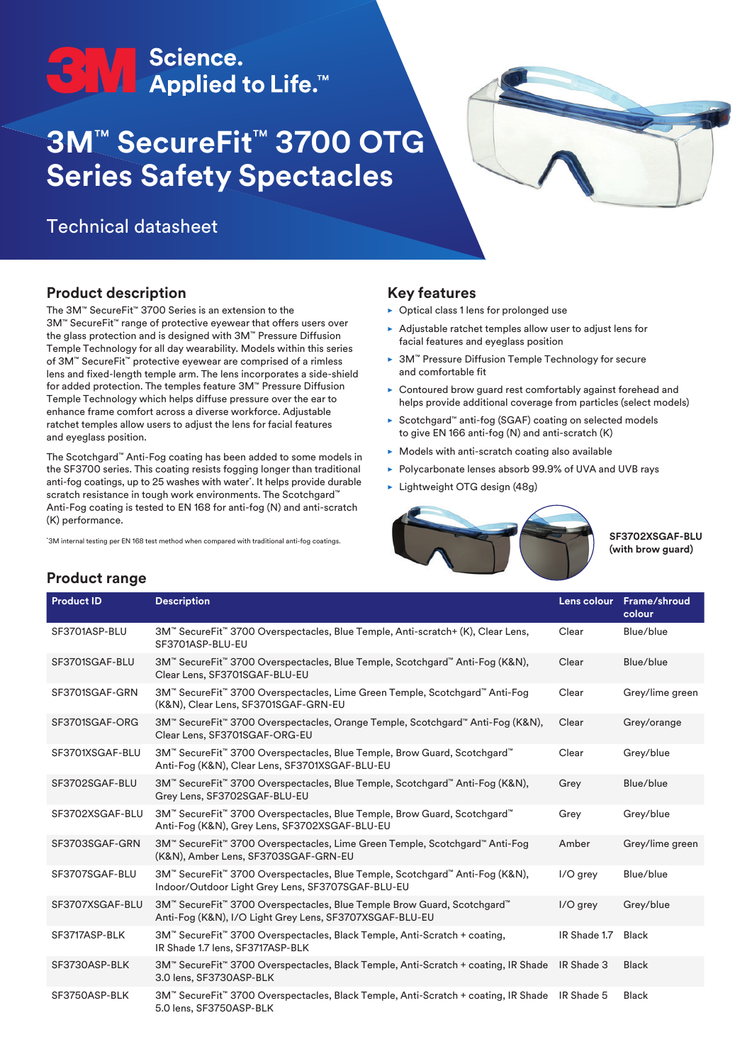# **ON Science.**<br>■ Applied to Life.™

## **3M**™ **SecureFit**™ **3700 OTG Series Safety Spectacles**

### Technical datasheet



#### **Product description**

The 3M™ SecureFit™ 3700 Series is an extension to the 3M™ SecureFit™ range of protective eyewear that offers users over the glass protection and is designed with 3M™ Pressure Diffusion Temple Technology for all day wearability. Models within this series of 3M™ SecureFit™ protective eyewear are comprised of a rimless lens and fixed-length temple arm. The lens incorporates a side-shield for added protection. The temples feature 3M™ Pressure Diffusion Temple Technology which helps diffuse pressure over the ear to enhance frame comfort across a diverse workforce. Adjustable ratchet temples allow users to adjust the lens for facial features and eyeglass position.

The Scotchgard™ Anti-Fog coating has been added to some models in the SF3700 series. This coating resists fogging longer than traditional anti-fog coatings, up to 25 washes with water\* . It helps provide durable scratch resistance in tough work environments. The Scotchgard™ Anti-Fog coating is tested to EN 168 for anti-fog (N) and anti-scratch (K) performance.

\* 3M internal testing per EN 168 test method when compared with traditional anti-fog coatings.

#### **Key features**

- $\triangleright$  Optical class 1 lens for prolonged use
- $\blacktriangleright$  Adjustable ratchet temples allow user to adjust lens for facial features and eyeglass position
- ► 3M™ Pressure Diffusion Temple Technology for secure and comfortable fit
- $\triangleright$  Contoured brow guard rest comfortably against forehead and helps provide additional coverage from particles (select models)
- ▶ Scotchgard™ anti-fog (SGAF) coating on selected models to give EN 166 anti-fog (N) and anti-scratch (K)
- $\triangleright$  Models with anti-scratch coating also available
- ▶ Polycarbonate lenses absorb 99.9% of UVA and UVB rays
- $\blacktriangleright$  Lightweight OTG design (48g)



**SF3702XSGAF-BLU (with brow guard)** 

#### **Product range**

| <b>Product ID</b> | <b>Description</b>                                                                                                                 |              | Lens colour Frame/shroud<br>colour |
|-------------------|------------------------------------------------------------------------------------------------------------------------------------|--------------|------------------------------------|
| SF3701ASP-BLU     | 3M™ SecureFit™ 3700 Overspectacles, Blue Temple, Anti-scratch+ (K), Clear Lens,<br>SF3701ASP-BLU-EU                                | Clear        | Blue/blue                          |
| SF3701SGAF-BLU    | 3M™ SecureFit™ 3700 Overspectacles, Blue Temple, Scotchgard™ Anti-Fog (K&N),<br>Clear Lens, SF3701SGAF-BLU-EU                      | Clear        | Blue/blue                          |
| SF3701SGAF-GRN    | 3M™ SecureFit™ 3700 Overspectacles, Lime Green Temple, Scotchgard™ Anti-Fog<br>(K&N), Clear Lens, SF3701SGAF-GRN-EU                | Clear        | Grey/lime green                    |
| SF3701SGAF-ORG    | 3M™ SecureFit™ 3700 Overspectacles, Orange Temple, Scotchgard™ Anti-Fog (K&N),<br>Clear Lens, SF3701SGAF-ORG-EU                    | Clear        | Grey/orange                        |
| SF3701XSGAF-BLU   | 3M™ SecureFit™ 3700 Overspectacles, Blue Temple, Brow Guard, Scotchgard™<br>Anti-Fog (K&N), Clear Lens, SF3701XSGAF-BLU-EU         | Clear        | Grey/blue                          |
| SF3702SGAF-BLU    | 3M™ SecureFit™ 3700 Overspectacles, Blue Temple, Scotchgard™ Anti-Fog (K&N),<br>Grey Lens, SF3702SGAF-BLU-EU                       | Grey         | Blue/blue                          |
| SF3702XSGAF-BLU   | 3M™ SecureFit™ 3700 Overspectacles, Blue Temple, Brow Guard, Scotchgard™<br>Anti-Fog (K&N), Grey Lens, SF3702XSGAF-BLU-EU          | Grey         | Grey/blue                          |
| SF3703SGAF-GRN    | 3M™ SecureFit™ 3700 Overspectacles, Lime Green Temple, Scotchgard™ Anti-Fog<br>(K&N), Amber Lens, SF3703SGAF-GRN-EU                | Amber        | Grey/lime green                    |
| SF3707SGAF-BLU    | 3M™ SecureFit™ 3700 Overspectacles, Blue Temple, Scotchgard™ Anti-Fog (K&N),<br>Indoor/Outdoor Light Grey Lens, SF3707SGAF-BLU-EU  | I/O grey     | Blue/blue                          |
| SF3707XSGAF-BLU   | 3M™ SecureFit™ 3700 Overspectacles, Blue Temple Brow Guard, Scotchgard™<br>Anti-Fog (K&N), I/O Light Grey Lens, SF3707XSGAF-BLU-EU | $I/O$ grey   | Grey/blue                          |
| SF3717ASP-BLK     | 3M™ SecureFit™ 3700 Overspectacles, Black Temple, Anti-Scratch + coating,<br>IR Shade 1.7 lens, SF3717ASP-BLK                      | IR Shade 1.7 | <b>Black</b>                       |
| SF3730ASP-BLK     | 3M™ SecureFit™ 3700 Overspectacles, Black Temple, Anti-Scratch + coating, IR Shade IR Shade 3<br>3.0 lens, SF3730ASP-BLK           |              | <b>Black</b>                       |
| SF3750ASP-BLK     | 3M™ SecureFit™ 3700 Overspectacles, Black Temple, Anti-Scratch + coating, IR Shade<br>5.0 lens, SF3750ASP-BLK                      | IR Shade 5   | <b>Black</b>                       |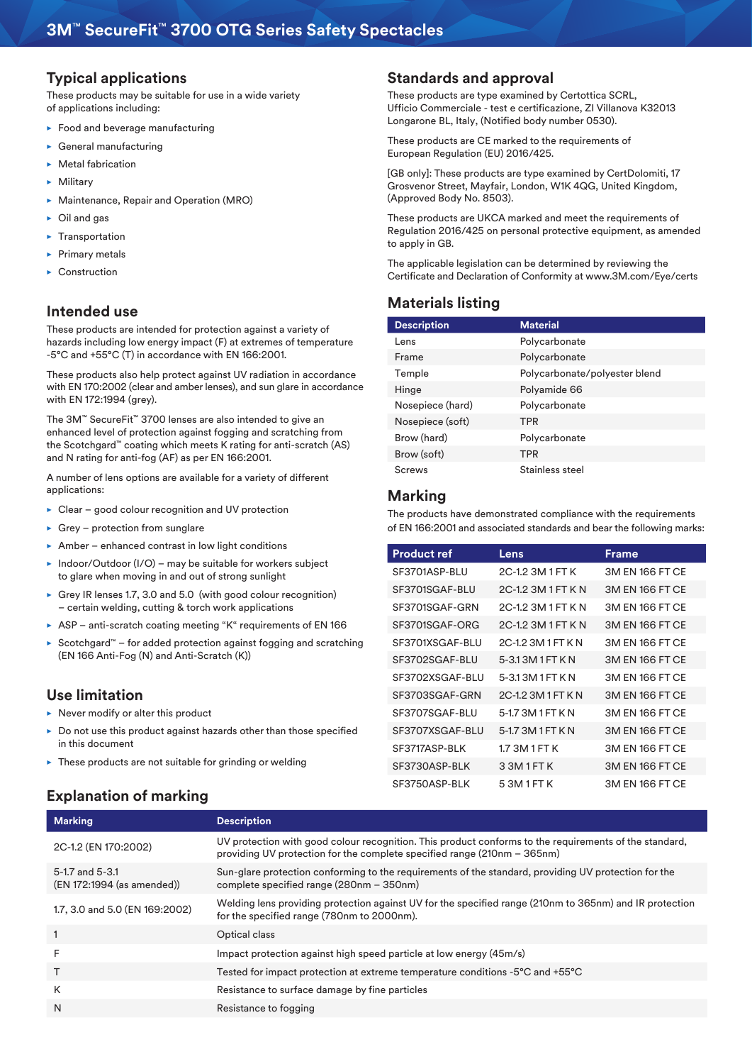#### **Typical applications**

These products may be suitable for use in a wide variety of applications including:

- $\blacktriangleright$  Food and beverage manufacturing
- $\blacktriangleright$  General manufacturing
- $\blacktriangleright$  Metal fabrication
- $\blacktriangleright$  Military
- $\triangleright$  Maintenance, Repair and Operation (MRO)
- $\triangleright$  Oil and gas
- Transportation
- Primary metals
- Construction

#### **Intended use**

These products are intended for protection against a variety of hazards including low energy impact (F) at extremes of temperature -5°C and +55°C (T) in accordance with EN 166:2001.

These products also help protect against UV radiation in accordance with EN 170:2002 (clear and amber lenses), and sun glare in accordance with EN 172:1994 (grey).

The 3M™ SecureFit™ 3700 lenses are also intended to give an enhanced level of protection against fogging and scratching from the Scotchgard™ coating which meets K rating for anti-scratch (AS) and N rating for anti-fog (AF) as per EN 166:2001.

A number of lens options are available for a variety of different applications:

- $\triangleright$  Clear good colour recognition and UV protection
- $\triangleright$  Grey protection from sunglare
- Amber enhanced contrast in low light conditions
- $\triangleright$  Indoor/Outdoor (I/O) may be suitable for workers subject to glare when moving in and out of strong sunlight
- $\triangleright$  Grey IR lenses 1.7, 3.0 and 5.0 (with good colour recognition) – certain welding, cutting & torch work applications
- ASP anti-scratch coating meeting "K" requirements of EN 166
- ► Scotchgard™ for added protection against fogging and scratching (EN 166 Anti-Fog (N) and Anti-Scratch (K))

#### **Use limitation**

- $\triangleright$  Never modify or alter this product
- $\triangleright$  Do not use this product against hazards other than those specified in this document
- $\blacktriangleright$  These products are not suitable for grinding or welding

#### **Explanation of marking**

#### **Standards and approval**

These products are type examined by Certottica SCRL, Ufficio Commerciale - test e certificazione, ZI Villanova K32013 Longarone BL, Italy, (Notified body number 0530).

These products are CE marked to the requirements of European Regulation (EU) 2016/425.

[GB only]: These products are type examined by CertDolomiti, 17 Grosvenor Street, Mayfair, London, W1K 4QG, United Kingdom, (Approved Body No. 8503).

These products are UKCA marked and meet the requirements of Regulation 2016/425 on personal protective equipment, as amended to apply in GB.

The applicable legislation can be determined by reviewing the Certificate and Declaration of Conformity at www.3M.com/Eye/certs

#### **Materials listing**

| <b>Description</b> | <b>Material</b>               |
|--------------------|-------------------------------|
| I ens              | Polycarbonate                 |
| Frame              | Polycarbonate                 |
| Temple             | Polycarbonate/polyester blend |
| Hinge              | Polyamide 66                  |
| Nosepiece (hard)   | Polycarbonate                 |
| Nosepiece (soft)   | <b>TPR</b>                    |
| Brow (hard)        | Polycarbonate                 |
| Brow (soft)        | <b>TPR</b>                    |
| Screws             | Stainless steel               |

#### **Marking**

The products have demonstrated compliance with the requirements of EN 166:2001 and associated standards and bear the following marks:

| <b>Product ref</b> | Lens              | Frame           |
|--------------------|-------------------|-----------------|
| SF3701ASP-BLU      | 2C-1.2 3M 1 FT K  | 3M FN 166 FT CF |
| SF3701SGAF-BLU     | 2C-12 3M 1 FT K N | 3M EN 166 FT CE |
| SF3701SGAF-GRN     | 2C-12 3M 1 FT K N | 3M EN 166 FT CE |
| SF3701SGAF-ORG     | 2C-12 3M 1 FT K N | 3M EN 166 FT CE |
| SE3701XSGAF-BLU    | 2C-12 3M 1 FT K N | 3M FN 166 FT CF |
| SF3702SGAF-BLU     | 5-313M1FTKN       | 3M FN 166 FT CF |
| SE3702XSGAF-BLU    | 5-313M1FTKN       | 3M FN 166 FT CF |
| SE3703SGAF-GRN     | 2C-12 3M 1 FT K N | 3M EN 166 FT CE |
| SE3707SGAF-BLU     | 5-17 3M 1 FT K N  | 3M FN 166 FT CF |
| SF3707XSGAF-BLU    | 5-1.7 3M 1 FT K N | 3M EN 166 FT CE |
| SE3717ASP-BLK      | 173M 1 FT K       | 3M FN 166 FT CF |
| SF3730ASP-BLK      | 3 3M 1 FT K       | 3M EN 166 FT CE |
| SF3750ASP-BLK      | 5 3M 1 FT K       | 3M FN 166 FT CF |

| <b>Marking</b>                                | <b>Description</b>                                                                                                                                                                 |
|-----------------------------------------------|------------------------------------------------------------------------------------------------------------------------------------------------------------------------------------|
| 2C-1.2 (EN 170:2002)                          | UV protection with good colour recognition. This product conforms to the requirements of the standard,<br>providing UV protection for the complete specified range (210nm - 365nm) |
| 5-1.7 and 5-3.1<br>(EN 172:1994 (as amended)) | Sun-glare protection conforming to the requirements of the standard, providing UV protection for the<br>complete specified range (280nm - 350nm)                                   |
| 1.7, 3.0 and 5.0 (EN 169:2002)                | Welding lens providing protection against UV for the specified range (210nm to 365nm) and IR protection<br>for the specified range (780nm to 2000nm).                              |
| $\mathbf{1}$                                  | Optical class                                                                                                                                                                      |
| F                                             | Impact protection against high speed particle at low energy (45m/s)                                                                                                                |
|                                               | Tested for impact protection at extreme temperature conditions -5°C and +55°C                                                                                                      |
| K                                             | Resistance to surface damage by fine particles                                                                                                                                     |
| N                                             | Resistance to fogging                                                                                                                                                              |
|                                               |                                                                                                                                                                                    |